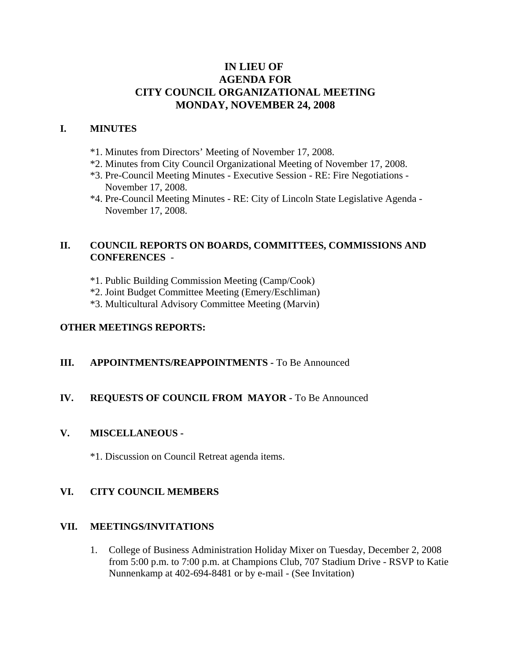## **IN LIEU OF AGENDA FOR CITY COUNCIL ORGANIZATIONAL MEETING MONDAY, NOVEMBER 24, 2008**

#### **I. MINUTES**

- \*1. Minutes from Directors' Meeting of November 17, 2008.
- \*2. Minutes from City Council Organizational Meeting of November 17, 2008.
- \*3. Pre-Council Meeting Minutes Executive Session RE: Fire Negotiations November 17, 2008.
- \*4. Pre-Council Meeting Minutes RE: City of Lincoln State Legislative Agenda November 17, 2008.

#### **II. COUNCIL REPORTS ON BOARDS, COMMITTEES, COMMISSIONS AND CONFERENCES** -

- \*1. Public Building Commission Meeting (Camp/Cook)
- \*2. Joint Budget Committee Meeting (Emery/Eschliman)
- \*3. Multicultural Advisory Committee Meeting (Marvin)

#### **OTHER MEETINGS REPORTS:**

#### **III.** APPOINTMENTS/REAPPOINTMENTS - To Be Announced

#### **IV. REQUESTS OF COUNCIL FROM MAYOR -** To Be Announced

#### **V. MISCELLANEOUS -**

\*1. Discussion on Council Retreat agenda items.

#### **VI. CITY COUNCIL MEMBERS**

#### **VII. MEETINGS/INVITATIONS**

1. College of Business Administration Holiday Mixer on Tuesday, December 2, 2008 from 5:00 p.m. to 7:00 p.m. at Champions Club, 707 Stadium Drive - RSVP to Katie Nunnenkamp at 402-694-8481 or by e-mail - (See Invitation)